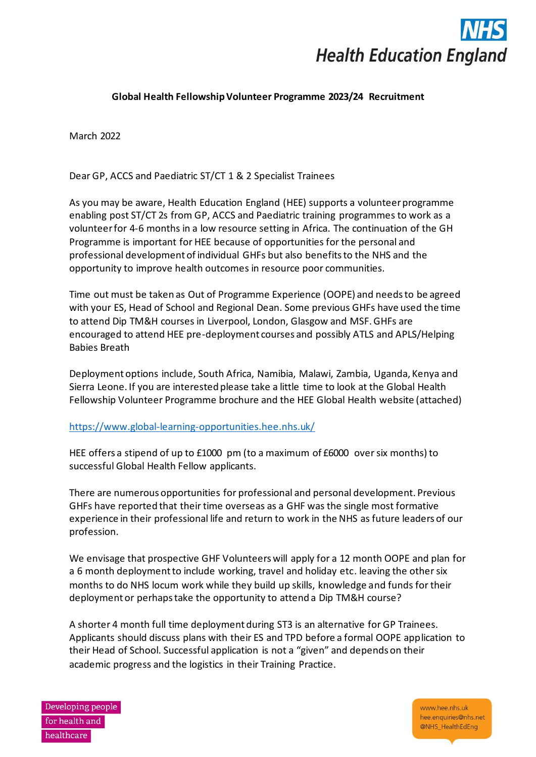

## **Global Health Fellowship Volunteer Programme 2023/24 Recruitment**

March 2022

Dear GP, ACCS and Paediatric ST/CT 1 & 2 Specialist Trainees

As you may be aware, Health Education England (HEE) supports a volunteer programme enabling post ST/CT 2s from GP, ACCS and Paediatric training programmes to work as a volunteer for 4-6 months in a low resource setting in Africa. The continuation of the GH Programme is important for HEE because of opportunities for the personal and professional development of individual GHFs but also benefits to the NHS and the opportunity to improve health outcomes in resource poor communities.

Time out must be taken as Out of Programme Experience (OOPE) and needs to be agreed with your ES, Head of School and Regional Dean. Some previous GHFs have used the time to attend Dip TM&H courses in Liverpool, London, Glasgow and MSF. GHFs are encouraged to attend HEE pre-deployment courses and possibly ATLS and APLS/Helping Babies Breath

Deployment options include, South Africa, Namibia, Malawi, Zambia, Uganda, Kenya and Sierra Leone. If you are interested please take a little time to look at the Global Health Fellowship Volunteer Programme brochure and the HEE Global Health website (attached)

## <https://www.global-learning-opportunities.hee.nhs.uk/>

HEE offers a stipend of up to £1000 pm (to a maximum of £6000 over six months) to successful Global Health Fellow applicants.

There are numerous opportunities for professional and personal development. Previous GHFs have reported that their time overseas as a GHF was the single most formative experience in their professional life and return to work in the NHS as future leaders of our profession.

We envisage that prospective GHF Volunteers will apply for a 12 month OOPE and plan for a 6 month deployment to include working, travel and holiday etc. leaving the other six months to do NHS locum work while they build up skills, knowledge and funds for their deployment or perhaps take the opportunity to attend a Dip TM&H course?

A shorter 4 month full time deployment during ST3 is an alternative for GP Trainees. Applicants should discuss plans with their ES and TPD before a formal OOPE application to their Head of School. Successful application is not a "given" and depends on their academic progress and the logistics in their Training Practice.

www.hee.nhs.uk hee.enquiries@nhs.net @NHS\_HealthEdEng